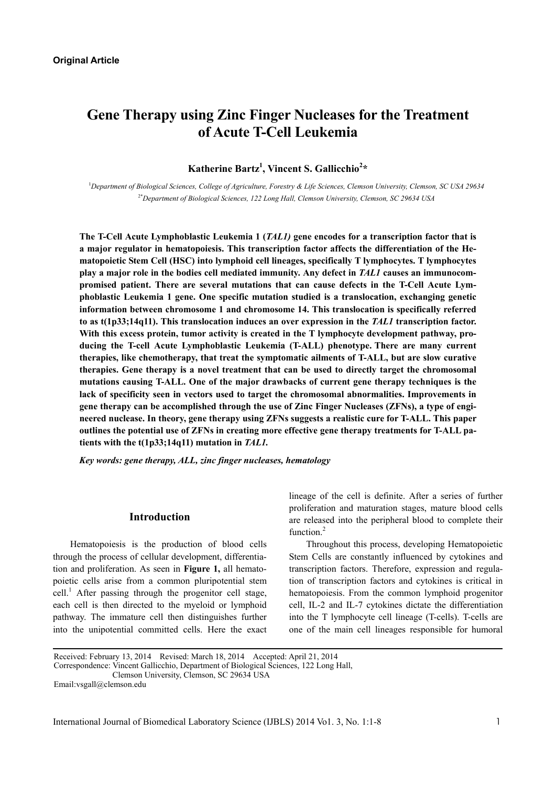# **Gene Therapy using Zinc Finger Nucleases for the Treatment of Acute T-Cell Leukemia**

**Katherine Bartz1 , Vincent S. Gallicchio<sup>2</sup> \*** 

<sup>1</sup>Department of Biological Sciences, College of Agriculture, Forestry & Life Sciences, Clemson University, Clemson, SC USA 29634 2\**Department of Biological Sciences, 122 Long Hall, Clemson University, Clemson, SC 29634 USA* 

**The T-Cell Acute Lymphoblastic Leukemia 1 (***TAL1)* **gene encodes for a transcription factor that is a major regulator in hematopoiesis. This transcription factor affects the differentiation of the Hematopoietic Stem Cell (HSC) into lymphoid cell lineages, specifically T lymphocytes. T lymphocytes play a major role in the bodies cell mediated immunity. Any defect in** *TAL1* **causes an immunocompromised patient. There are several mutations that can cause defects in the T-Cell Acute Lymphoblastic Leukemia 1 gene. One specific mutation studied is a translocation, exchanging genetic information between chromosome 1 and chromosome 14. This translocation is specifically referred to as t(1p33;14q11). This translocation induces an over expression in the** *TAL1* **transcription factor.** With this excess protein, tumor activity is created in the T lymphocyte development pathway, pro**ducing the T-cell Acute Lymphoblastic Leukemia (T-ALL) phenotype. There are many current therapies, like chemotherapy, that treat the symptomatic ailments of T-ALL, but are slow curative therapies. Gene therapy is a novel treatment that can be used to directly target the chromosomal mutations causing T-ALL. One of the major drawbacks of current gene therapy techniques is the lack of specificity seen in vectors used to target the chromosomal abnormalities. Improvements in gene therapy can be accomplished through the use of Zinc Finger Nucleases (ZFNs), a type of engineered nuclease. In theory, gene therapy using ZFNs suggests a realistic cure for T-ALL. This paper outlines the potential use of ZFNs in creating more effective gene therapy treatments for T-ALL patients with the t(1p33;14q11) mutation in** *TAL1.* 

*Key words: gene therapy, ALL, zinc finger nucleases, hematology* 

## **Introduction**

Hematopoiesis is the production of blood cells through the process of cellular development, differentiation and proliferation. As seen in **Figure 1,** all hematopoietic cells arise from a common pluripotential stem cell.<sup>1</sup> After passing through the progenitor cell stage, each cell is then directed to the myeloid or lymphoid pathway. The immature cell then distinguishes further into the unipotential committed cells. Here the exact

lineage of the cell is definite. After a series of further proliferation and maturation stages, mature blood cells are released into the peripheral blood to complete their function.<sup>2</sup>

Throughout this process, developing Hematopoietic Stem Cells are constantly influenced by cytokines and transcription factors. Therefore, expression and regulation of transcription factors and cytokines is critical in hematopoiesis. From the common lymphoid progenitor cell, IL-2 and IL-7 cytokines dictate the differentiation into the T lymphocyte cell lineage (T-cells). T-cells are one of the main cell lineages responsible for humoral

Received: February 13, 2014 Revised: March 18, 2014 Accepted: April 21, 2014 Correspondence: Vincent Gallicchio, Department of Biological Sciences, 122 Long Hall, Clemson University, Clemson, SC 29634 USA

Email:vsgall@clemson.edu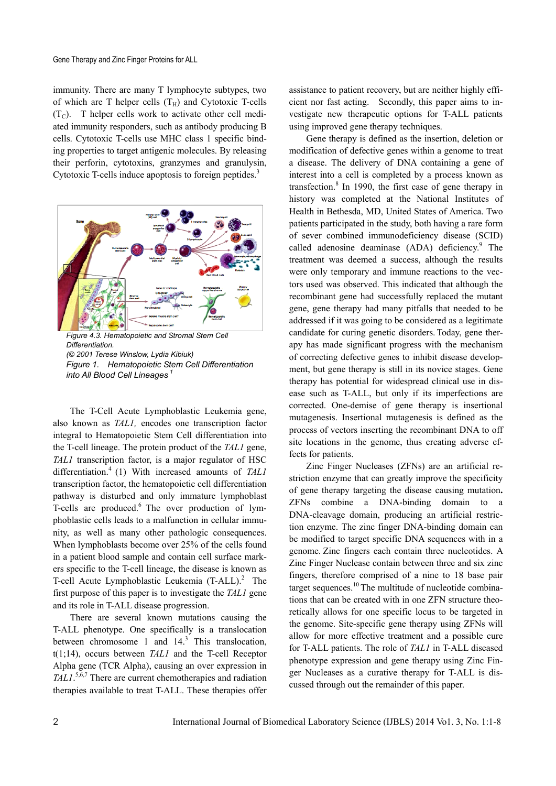immunity. There are many T lymphocyte subtypes, two of which are T helper cells  $(T_H)$  and Cytotoxic T-cells  $(T<sub>C</sub>)$ . T helper cells work to activate other cell mediated immunity responders, such as antibody producing B cells. Cytotoxic T-cells use MHC class 1 specific binding properties to target antigenic molecules. By releasing their perforin, cytotoxins, granzymes and granulysin, Cytotoxic T-cells induce apoptosis to foreign peptides.<sup>3</sup>



*Differentiation. (© 2001 Terese Winslow, Lydia Kibiuk) Figure 1. Hematopoietic Stem Cell Differentiation into All Blood Cell Lineages<sup>1</sup>*

The T-Cell Acute Lymphoblastic Leukemia gene, also known as *TAL1,* encodes one transcription factor integral to Hematopoietic Stem Cell differentiation into the T-cell lineage. The protein product of the *TAL1* gene, *TAL1* transcription factor, is a major regulator of HSC differentiation.4 (1) With increased amounts of *TAL1* transcription factor, the hematopoietic cell differentiation pathway is disturbed and only immature lymphoblast T-cells are produced.<sup>6</sup> The over production of lymphoblastic cells leads to a malfunction in cellular immunity, as well as many other pathologic consequences. When lymphoblasts become over 25% of the cells found in a patient blood sample and contain cell surface markers specific to the T-cell lineage, the disease is known as T-cell Acute Lymphoblastic Leukemia  $(T-ALL)^2$  The first purpose of this paper is to investigate the *TAL1* gene and its role in T-ALL disease progression.

There are several known mutations causing the T-ALL phenotype. One specifically is a translocation between chromosome 1 and  $14<sup>3</sup>$ . This translocation, t(1;14), occurs between *TAL1* and the T-cell Receptor Alpha gene (TCR Alpha), causing an over expression in *TAL1*. 5,6,7 There are current chemotherapies and radiation therapies available to treat T-ALL. These therapies offer

assistance to patient recovery, but are neither highly efficient nor fast acting. Secondly, this paper aims to investigate new therapeutic options for T-ALL patients using improved gene therapy techniques.

Gene therapy is defined as the insertion, deletion or modification of defective genes within a genome to treat a disease. The delivery of DNA containing a gene of interest into a cell is completed by a process known as transfection.<sup>8</sup> In 1990, the first case of gene therapy in history was completed at the National Institutes of Health in Bethesda, MD, United States of America. Two patients participated in the study, both having a rare form of sever combined immunodeficiency disease (SCID) called adenosine deaminase (ADA) deficiency.<sup>9</sup> The treatment was deemed a success, although the results were only temporary and immune reactions to the vectors used was observed. This indicated that although the recombinant gene had successfully replaced the mutant gene, gene therapy had many pitfalls that needed to be addressed if it was going to be considered as a legitimate candidate for curing genetic disorders. Today, gene therapy has made significant progress with the mechanism of correcting defective genes to inhibit disease development, but gene therapy is still in its novice stages. Gene therapy has potential for widespread clinical use in disease such as T-ALL, but only if its imperfections are corrected. One-demise of gene therapy is insertional mutagenesis. Insertional mutagenesis is defined as the process of vectors inserting the recombinant DNA to off site locations in the genome, thus creating adverse effects for patients.

Zinc Finger Nucleases (ZFNs) are an artificial restriction enzyme that can greatly improve the specificity of gene therapy targeting the disease causing mutation**.** ZFNs combine a DNA-binding domain to a DNA-cleavage domain, producing an artificial restriction enzyme. The zinc finger DNA-binding domain can be modified to target specific DNA sequences with in a genome. Zinc fingers each contain three nucleotides. A Zinc Finger Nuclease contain between three and six zinc fingers, therefore comprised of a nine to 18 base pair target sequences.<sup>10</sup> The multitude of nucleotide combinations that can be created with in one ZFN structure theoretically allows for one specific locus to be targeted in the genome. Site-specific gene therapy using ZFNs will allow for more effective treatment and a possible cure for T-ALL patients. The role of *TAL1* in T-ALL diseased phenotype expression and gene therapy using Zinc Finger Nucleases as a curative therapy for T-ALL is discussed through out the remainder of this paper.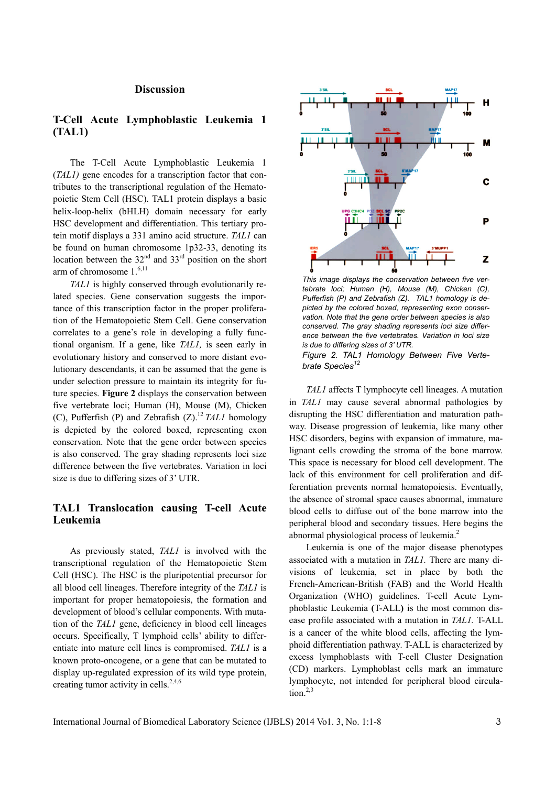#### **Discussion**

# **T-Cell Acute Lymphoblastic Leukemia 1 (TAL1)**

The T-Cell Acute Lymphoblastic Leukemia 1 (*TAL1)* gene encodes for a transcription factor that contributes to the transcriptional regulation of the Hematopoietic Stem Cell (HSC). TAL1 protein displays a basic helix-loop-helix (bHLH) domain necessary for early HSC development and differentiation. This tertiary protein motif displays a 331 amino acid structure. *TAL1* can be found on human chromosome 1p32-33, denoting its location between the  $32<sup>nd</sup>$  and  $33<sup>rd</sup>$  position on the short arm of chromosome 1.<sup>6,11</sup>

*TAL1* is highly conserved through evolutionarily related species. Gene conservation suggests the importance of this transcription factor in the proper proliferation of the Hematopoietic Stem Cell. Gene conservation correlates to a gene's role in developing a fully functional organism. If a gene, like *TAL1,* is seen early in evolutionary history and conserved to more distant evolutionary descendants, it can be assumed that the gene is under selection pressure to maintain its integrity for future species. **Figure 2** displays the conservation between five vertebrate loci; Human (H), Mouse (M), Chicken (C), Pufferfish (P) and Zebrafish  $(Z)$ .<sup>12</sup> *TAL1* homology is depicted by the colored boxed, representing exon conservation. Note that the gene order between species is also conserved. The gray shading represents loci size difference between the five vertebrates. Variation in loci size is due to differing sizes of 3' UTR.

# **TAL1 Translocation causing T-cell Acute Leukemia**

As previously stated, *TAL1* is involved with the transcriptional regulation of the Hematopoietic Stem Cell (HSC). The HSC is the pluripotential precursor for all blood cell lineages. Therefore integrity of the *TAL1* is important for proper hematopoiesis, the formation and development of blood's cellular components. With mutation of the *TAL1* gene, deficiency in blood cell lineages occurs. Specifically, T lymphoid cells' ability to differentiate into mature cell lines is compromised. *TAL1* is a known proto-oncogene, or a gene that can be mutated to display up-regulated expression of its wild type protein, creating tumor activity in cells.<sup>2,4,6</sup>



*This image displays the conservation between five vertebrate loci; Human (H), Mouse (M), Chicken (C), Pufferfish (P) and Zebrafish (Z). TAL1 homology is depicted by the colored boxed, representing exon conservation. Note that the gene order between species is also conserved. The gray shading represents loci size difference between the five vertebrates. Variation in loci size is due to differing sizes of 3' UTR.*

*Figure 2. TAL1 Homology Between Five Vertebrate Species<sup>12</sup>*

*TAL1* affects T lymphocyte cell lineages. A mutation in *TAL1* may cause several abnormal pathologies by disrupting the HSC differentiation and maturation pathway. Disease progression of leukemia, like many other HSC disorders, begins with expansion of immature, malignant cells crowding the stroma of the bone marrow. This space is necessary for blood cell development. The lack of this environment for cell proliferation and differentiation prevents normal hematopoiesis. Eventually, the absence of stromal space causes abnormal, immature blood cells to diffuse out of the bone marrow into the peripheral blood and secondary tissues. Here begins the abnormal physiological process of leukemia.<sup>2</sup>

Leukemia is one of the major disease phenotypes associated with a mutation in *TAL1.* There are many divisions of leukemia, set in place by both the French-American-British (FAB) and the World Health Organization (WHO) guidelines. T-cell Acute Lymphoblastic Leukemia **(**T-ALL**)** is the most common disease profile associated with a mutation in *TAL1.* T-ALL is a cancer of the white blood cells, affecting the lymphoid differentiation pathway*.* T-ALL is characterized by excess lymphoblasts with T-cell Cluster Designation (CD) markers. Lymphoblast cells mark an immature lymphocyte, not intended for peripheral blood circulation. $2,3$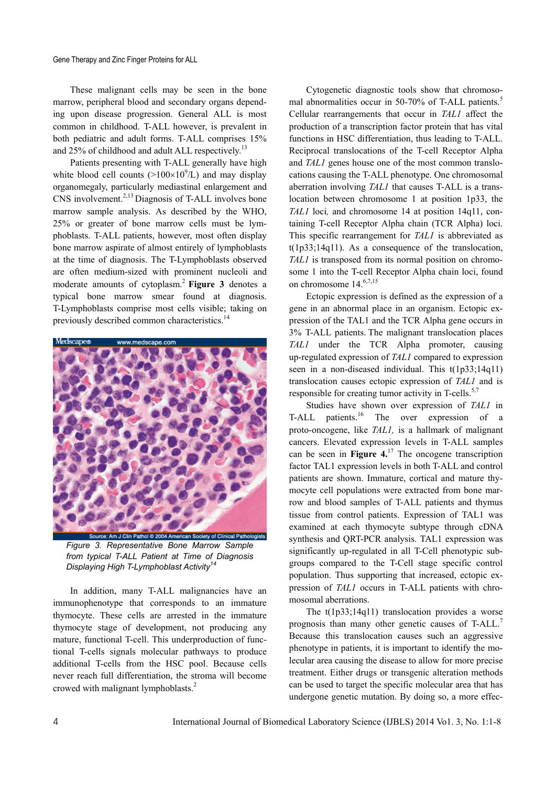Gene Therapy and Zinc Finger Proteins for ALL

These malignant cells may be seen in the bone marrow, peripheral blood and secondary organs depending upon disease progression. General ALL is most common in childhood. T-ALL however, is prevalent in both pediatric and adult forms. T-ALL comprises 15% and 25% of childhood and adult ALL respectively.<sup>13</sup>

Patients presenting with T-ALL generally have high white blood cell counts  $(>100\times10^{9}/L)$  and may display organomegaly, particularly mediastinal enlargement and CNS involvement.<sup>2,13</sup> Diagnosis of T-ALL involves bone marrow sample analysis. As described by the WHO, 25% or greater of bone marrow cells must be lymphoblasts. T-ALL patients, however, most often display bone marrow aspirate of almost entirely of lymphoblasts at the time of diagnosis. The T-Lymphoblasts observed are often medium-sized with prominent nucleoli and moderate amounts of cytoplasm.2 **Figure 3** denotes a typical bone marrow smear found at diagnosis. T-Lymphoblasts comprise most cells visible; taking on previously described common characteristics.14



*Figure 3. Representative Bone Marrow Sample from typical T-ALL Patient at Time of Diagnosis Displaying High T-Lymphoblast Activity<sup>14</sup>*

In addition, many T-ALL malignancies have an immunophenotype that corresponds to an immature thymocyte. These cells are arrested in the immature thymocyte stage of development, not producing any mature, functional T-cell. This underproduction of functional T-cells signals molecular pathways to produce additional T-cells from the HSC pool. Because cells never reach full differentiation, the stroma will become crowed with malignant lymphoblasts.<sup>2</sup>

Cytogenetic diagnostic tools show that chromosomal abnormalities occur in 50-70% of T-ALL patients.<sup>5</sup> Cellular rearrangements that occur in *TAL1* affect the production of a transcription factor protein that has vital functions in HSC differentiation, thus leading to T-ALL. Reciprocal translocations of the T-cell Receptor Alpha and *TAL1* genes house one of the most common translocations causing the T-ALL phenotype. One chromosomal aberration involving *TAL1* that causes T-ALL is a translocation between chromosome 1 at position 1p33, the *TAL1* loci*,* and chromosome 14 at position 14q11, containing T-cell Receptor Alpha chain (TCR Alpha) loci. This specific rearrangement for *TAL1* is abbreviated as t(1p33;14q11). As a consequence of the translocation, *TAL1* is transposed from its normal position on chromosome 1 into the T-cell Receptor Alpha chain loci, found on chromosome 14.6,7,15

Ectopic expression is defined as the expression of a gene in an abnormal place in an organism. Ectopic expression of the TAL1 and the TCR Alpha gene occurs in 3% T-ALL patients. The malignant translocation places *TAL1* under the TCR Alpha promoter, causing up-regulated expression of *TAL1* compared to expression seen in a non-diseased individual. This t(1p33;14q11) translocation causes ectopic expression of *TAL1* and is responsible for creating tumor activity in T-cells.<sup>5,7</sup>

Studies have shown over expression of *TAL1* in T-ALL patients.<sup>16</sup> The over expression of a proto-oncogene, like *TAL1,* is a hallmark of malignant cancers. Elevated expression levels in T-ALL samples can be seen in **Figure 4.**17 The oncogene transcription factor TAL1 expression levels in both T-ALL and control patients are shown. Immature, cortical and mature thymocyte cell populations were extracted from bone marrow and blood samples of T-ALL patients and thymus tissue from control patients. Expression of TAL1 was examined at each thymocyte subtype through cDNA synthesis and QRT-PCR analysis. TAL1 expression was significantly up-regulated in all T-Cell phenotypic subgroups compared to the T-Cell stage specific control population. Thus supporting that increased, ectopic expression of *TAL1* occurs in T-ALL patients with chromosomal aberrations.

The t(1p33;14q11) translocation provides a worse prognosis than many other genetic causes of T-ALL.<sup>7</sup> Because this translocation causes such an aggressive phenotype in patients, it is important to identify the molecular area causing the disease to allow for more precise treatment. Either drugs or transgenic alteration methods can be used to target the specific molecular area that has undergone genetic mutation. By doing so, a more effec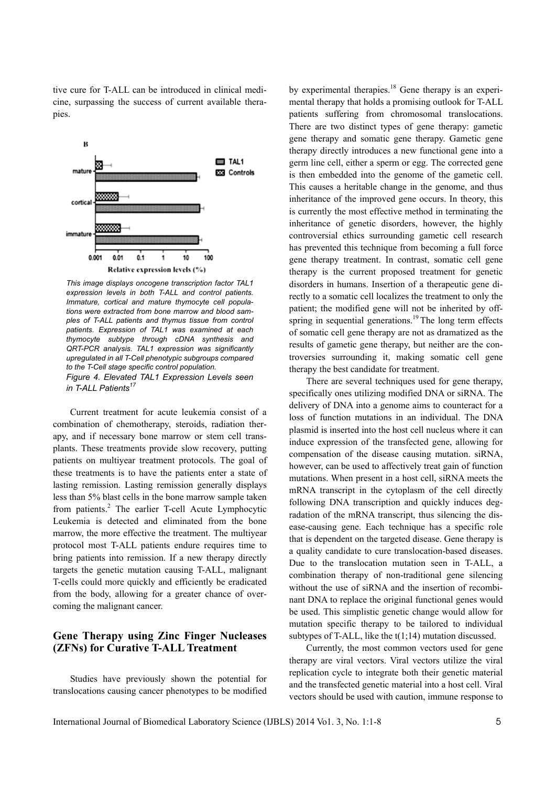tive cure for T-ALL can be introduced in clinical medicine, surpassing the success of current available therapies.



*This image displays oncogene transcription factor TAL1 expression levels in both T-ALL and control patients. Immature, cortical and mature thymocyte cell populations were extracted from bone marrow and blood samples of T-ALL patients and thymus tissue from control patients. Expression of TAL1 was examined at each thymocyte subtype through cDNA synthesis and QRT-PCR analysis. TAL1 expression was significantly upregulated in all T-Cell phenotypic subgroups compared to the T-Cell stage specific control population. Figure 4. Elevated TAL1 Expression Levels seen in T-ALL Patients<sup>17</sup>* 

Current treatment for acute leukemia consist of a combination of chemotherapy, steroids, radiation therapy, and if necessary bone marrow or stem cell transplants. These treatments provide slow recovery, putting patients on multiyear treatment protocols. The goal of these treatments is to have the patients enter a state of lasting remission. Lasting remission generally displays less than 5% blast cells in the bone marrow sample taken from patients.<sup>2</sup> The earlier T-cell Acute Lymphocytic Leukemia is detected and eliminated from the bone marrow, the more effective the treatment. The multiyear protocol most T-ALL patients endure requires time to bring patients into remission. If a new therapy directly targets the genetic mutation causing T-ALL, malignant T-cells could more quickly and efficiently be eradicated from the body, allowing for a greater chance of overcoming the malignant cancer.

# **Gene Therapy using Zinc Finger Nucleases (ZFNs) for Curative T-ALL Treatment**

Studies have previously shown the potential for translocations causing cancer phenotypes to be modified by experimental therapies.<sup>18</sup> Gene therapy is an experimental therapy that holds a promising outlook for T-ALL patients suffering from chromosomal translocations. There are two distinct types of gene therapy: gametic gene therapy and somatic gene therapy. Gametic gene therapy directly introduces a new functional gene into a germ line cell, either a sperm or egg. The corrected gene is then embedded into the genome of the gametic cell. This causes a heritable change in the genome, and thus inheritance of the improved gene occurs. In theory, this is currently the most effective method in terminating the inheritance of genetic disorders, however, the highly controversial ethics surrounding gametic cell research has prevented this technique from becoming a full force gene therapy treatment. In contrast, somatic cell gene therapy is the current proposed treatment for genetic disorders in humans. Insertion of a therapeutic gene directly to a somatic cell localizes the treatment to only the patient; the modified gene will not be inherited by offspring in sequential generations.<sup>19</sup> The long term effects of somatic cell gene therapy are not as dramatized as the results of gametic gene therapy, but neither are the controversies surrounding it, making somatic cell gene therapy the best candidate for treatment.

There are several techniques used for gene therapy, specifically ones utilizing modified DNA or siRNA. The delivery of DNA into a genome aims to counteract for a loss of function mutations in an individual. The DNA plasmid is inserted into the host cell nucleus where it can induce expression of the transfected gene, allowing for compensation of the disease causing mutation. siRNA, however, can be used to affectively treat gain of function mutations. When present in a host cell, siRNA meets the mRNA transcript in the cytoplasm of the cell directly following DNA transcription and quickly induces degradation of the mRNA transcript, thus silencing the disease-causing gene. Each technique has a specific role that is dependent on the targeted disease. Gene therapy is a quality candidate to cure translocation-based diseases. Due to the translocation mutation seen in T-ALL, a combination therapy of non-traditional gene silencing without the use of siRNA and the insertion of recombinant DNA to replace the original functional genes would be used. This simplistic genetic change would allow for mutation specific therapy to be tailored to individual subtypes of T-ALL, like the  $t(1,14)$  mutation discussed.

Currently, the most common vectors used for gene therapy are viral vectors. Viral vectors utilize the viral replication cycle to integrate both their genetic material and the transfected genetic material into a host cell. Viral vectors should be used with caution, immune response to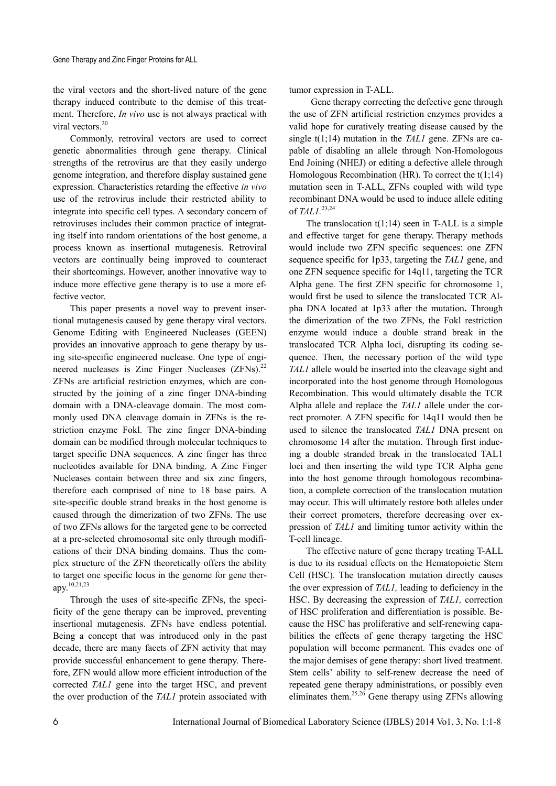the viral vectors and the short-lived nature of the gene therapy induced contribute to the demise of this treatment. Therefore, *In vivo* use is not always practical with viral vectors.<sup>20</sup>

Commonly, retroviral vectors are used to correct genetic abnormalities through gene therapy. Clinical strengths of the retrovirus are that they easily undergo genome integration, and therefore display sustained gene expression. Characteristics retarding the effective *in vivo*  use of the retrovirus include their restricted ability to integrate into specific cell types. A secondary concern of retroviruses includes their common practice of integrating itself into random orientations of the host genome, a process known as insertional mutagenesis. Retroviral vectors are continually being improved to counteract their shortcomings. However, another innovative way to induce more effective gene therapy is to use a more effective vector.

This paper presents a novel way to prevent insertional mutagenesis caused by gene therapy viral vectors. Genome Editing with Engineered Nucleases (GEEN) provides an innovative approach to gene therapy by using site-specific engineered nuclease. One type of engineered nucleases is Zinc Finger Nucleases  $(ZFNs)^{22}$ ZFNs are artificial restriction enzymes, which are constructed by the joining of a zinc finger DNA-binding domain with a DNA-cleavage domain. The most commonly used DNA cleavage domain in ZFNs is the restriction enzyme Fokl. The zinc finger DNA-binding domain can be modified through molecular techniques to target specific DNA sequences. A zinc finger has three nucleotides available for DNA binding. A Zinc Finger Nucleases contain between three and six zinc fingers, therefore each comprised of nine to 18 base pairs. A site-specific double strand breaks in the host genome is caused through the dimerization of two ZFNs. The use of two ZFNs allows for the targeted gene to be corrected at a pre-selected chromosomal site only through modifications of their DNA binding domains. Thus the complex structure of the ZFN theoretically offers the ability to target one specific locus in the genome for gene therapy.10,21,23

Through the uses of site-specific ZFNs, the specificity of the gene therapy can be improved, preventing insertional mutagenesis. ZFNs have endless potential. Being a concept that was introduced only in the past decade, there are many facets of ZFN activity that may provide successful enhancement to gene therapy. Therefore, ZFN would allow more efficient introduction of the corrected *TAL1* gene into the target HSC, and prevent the over production of the *TAL1* protein associated with

tumor expression in T-ALL.

 Gene therapy correcting the defective gene through the use of ZFN artificial restriction enzymes provides a valid hope for curatively treating disease caused by the single t(1;14) mutation in the *TAL1* gene. ZFNs are capable of disabling an allele through Non-Homologous End Joining (NHEJ) or editing a defective allele through Homologous Recombination (HR). To correct the  $t(1,14)$ mutation seen in T-ALL, ZFNs coupled with wild type recombinant DNA would be used to induce allele editing of *TAL1.*23,24

The translocation  $t(1;14)$  seen in T-ALL is a simple and effective target for gene therapy. Therapy methods would include two ZFN specific sequences: one ZFN sequence specific for 1p33, targeting the *TAL1* gene, and one ZFN sequence specific for 14q11, targeting the TCR Alpha gene. The first ZFN specific for chromosome 1, would first be used to silence the translocated TCR Alpha DNA located at 1p33 after the mutation**.** Through the dimerization of the two ZFNs, the Fokl restriction enzyme would induce a double strand break in the translocated TCR Alpha loci, disrupting its coding sequence. Then, the necessary portion of the wild type *TAL1* allele would be inserted into the cleavage sight and incorporated into the host genome through Homologous Recombination. This would ultimately disable the TCR Alpha allele and replace the *TAL1* allele under the correct promoter. A ZFN specific for 14q11 would then be used to silence the translocated *TAL1* DNA present on chromosome 14 after the mutation. Through first inducing a double stranded break in the translocated TAL1 loci and then inserting the wild type TCR Alpha gene into the host genome through homologous recombination, a complete correction of the translocation mutation may occur. This will ultimately restore both alleles under their correct promoters, therefore decreasing over expression of *TAL1* and limiting tumor activity within the T-cell lineage.

The effective nature of gene therapy treating T-ALL is due to its residual effects on the Hematopoietic Stem Cell (HSC). The translocation mutation directly causes the over expression of *TAL1,* leading to deficiency in the HSC. By decreasing the expression of *TAL1,* correction of HSC proliferation and differentiation is possible. Because the HSC has proliferative and self-renewing capabilities the effects of gene therapy targeting the HSC population will become permanent. This evades one of the major demises of gene therapy: short lived treatment. Stem cells' ability to self-renew decrease the need of repeated gene therapy administrations, or possibly even eliminates them.25,26 Gene therapy using ZFNs allowing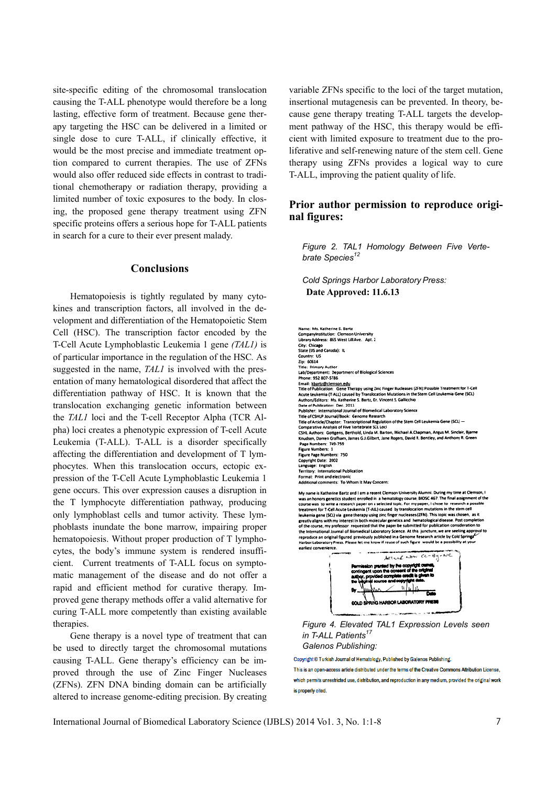site-specific editing of the chromosomal translocation causing the T-ALL phenotype would therefore be a long lasting, effective form of treatment. Because gene therapy targeting the HSC can be delivered in a limited or single dose to cure T-ALL, if clinically effective, it would be the most precise and immediate treatment option compared to current therapies. The use of ZFNs would also offer reduced side effects in contrast to traditional chemotherapy or radiation therapy, providing a limited number of toxic exposures to the body. In closing, the proposed gene therapy treatment using ZFN specific proteins offers a serious hope for T-ALL patients in search for a cure to their ever present malady.

#### **Conclusions**

Hematopoiesis is tightly regulated by many cytokines and transcription factors, all involved in the development and differentiation of the Hematopoietic Stem Cell (HSC). The transcription factor encoded by the T-Cell Acute Lymphoblastic Leukemia 1 gene *(TAL1)* is of particular importance in the regulation of the HSC*.* As suggested in the name, *TAL1* is involved with the presentation of many hematological disordered that affect the differentiation pathway of HSC. It is known that the translocation exchanging genetic information between the *TAL1* loci and the T-cell Receptor Alpha (TCR Alpha) loci creates a phenotypic expression of T-cell Acute Leukemia (T-ALL). T-ALL is a disorder specifically affecting the differentiation and development of T lymphocytes. When this translocation occurs, ectopic expression of the T-Cell Acute Lymphoblastic Leukemia 1 gene occurs. This over expression causes a disruption in the T lymphocyte differentiation pathway, producing only lymphoblast cells and tumor activity. These lymphoblasts inundate the bone marrow, impairing proper hematopoiesis. Without proper production of T lymphocytes, the body's immune system is rendered insufficient. Current treatments of T-ALL focus on symptomatic management of the disease and do not offer a rapid and efficient method for curative therapy. Improved gene therapy methods offer a valid alternative for curing T-ALL more competently than existing available therapies.

Gene therapy is a novel type of treatment that can be used to directly target the chromosomal mutations causing T-ALL. Gene therapy's efficiency can be improved through the use of Zinc Finger Nucleases (ZFNs). ZFN DNA binding domain can be artificially altered to increase genome-editing precision. By creating variable ZFNs specific to the loci of the target mutation, insertional mutagenesis can be prevented. In theory, because gene therapy treating T-ALL targets the development pathway of the HSC, this therapy would be efficient with limited exposure to treatment due to the proliferative and self-renewing nature of the stem cell. Gene therapy using ZFNs provides a logical way to cure T-ALL, improving the patient quality of life.

## **Prior author permission to reproduce original figures:**

*Figure 2. TAL1 Homology Between Five Vertebrate Species<sup>12</sup>*

*Cold Springs Harbor Laboratory Press:*  **Date Approved: 11.6.13** 

Name: Ms. Katherine S. Bartz .<br>Companyinstitution: Clemson University<br>Library Address: 865 West Lill Ave. Apt. 2 City: Chicago ت.ر..<br>State (US and Canada): الـ saat (oo am Country: US<br>Zip: 60614<br>Title: Primary Author<br>Lab/Department: Department of Biological Sciences<br>Phone: 952 807-5786 Phone: 952 807-5786<br>Email: <u>kbartz@clemson.edu</u><br>Title of Publication: Gene Therapy using Zinc Finger Nucleases (ZFN):Po<br>Acute Leukemia (T-ALL) caused by Transfocation Mutations in the Stem ( e Treatn The of Pumbation. Optics Thereby with a major model in the Stem Cell Leukemia Gene (SCL)<br>Acute Leukemia (T-ALL) caused by Translocation Mutations in the Stem Cell Leukemia Gene (SCL)<br>Authors/Editors: Ms. Katherine S. Bartz Authors/Editor: Mas. Katherine S. Bartz, Dr. Vincent S. Gallicchio<br>Date of Publication: Dec. 2013<br>Publisher: International Journal of Blomedical Laboratory Science<br>Trile of CSHD Journal/Rook: Genome Research<br>The of CSHD Pu r eive verteorate sou coci<br>s, Berthold, Linda M. Barton, Michael A.Chapman, Angus M. Sinclair, Bjarn<br>am, James G.J.Gilbert, Jane Rogers, David R. Bentley, and Anthony R. Greet Page Numbers: 749-759 Figure Numbers: 1 Figure Page Numbers: 750 Convright Date: 2002 copyright outer noon<br>Language: English<br>Territory: International Publication international Publication<br>fint and electronic<br>comments: To Whom It May Concern:<br>.

My name is Katherine Bartz and I am a recent Clemson University Alumni. During my time at Clemsa an honors genetics student enrolled in a hematology course, BIOSC 467. The final assignment course was to write a research p en, as it .<br>In to est convenience  $c - 8$ **ARTICLE NOW** 



*Figure 4. Elevated TAL1 Expression Levels seen in T-ALL Patients<sup>1</sup> Galenos Publishing:* 

Copyright @ Turkish Journal of Hematology, Published by Galenos Publishing. This is an open-access article distributed under the terms of the Creative Commons Attribution License. which permits unrestricted use, distribution, and reproduction in any medium, provided the original work

is properly cited.